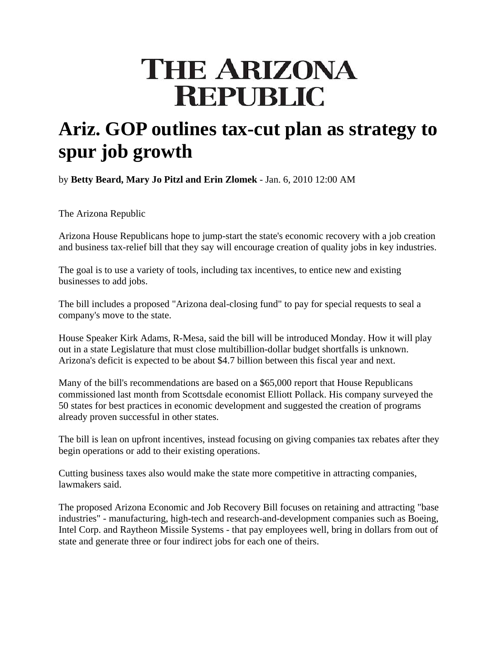# **THE ARIZONA REPUBLIC**

## **Ariz. GOP outlines tax-cut plan as strategy to spur job growth**

by **Betty Beard, Mary Jo Pitzl and Erin Zlomek** - Jan. 6, 2010 12:00 AM

The Arizona Republic

Arizona House Republicans hope to jump-start the state's economic recovery with a job creation and business tax-relief bill that they say will encourage creation of quality jobs in key industries.

The goal is to use a variety of tools, including tax incentives, to entice new and existing businesses to add jobs.

The bill includes a proposed "Arizona deal-closing fund" to pay for special requests to seal a company's move to the state.

House Speaker Kirk Adams, R-Mesa, said the bill will be introduced Monday. How it will play out in a state Legislature that must close multibillion-dollar budget shortfalls is unknown. Arizona's deficit is expected to be about \$4.7 billion between this fiscal year and next.

Many of the bill's recommendations are based on a \$65,000 report that House Republicans commissioned last month from Scottsdale economist Elliott Pollack. His company surveyed the 50 states for best practices in economic development and suggested the creation of programs already proven successful in other states.

The bill is lean on upfront incentives, instead focusing on giving companies tax rebates after they begin operations or add to their existing operations.

Cutting business taxes also would make the state more competitive in attracting companies, lawmakers said.

The proposed Arizona Economic and Job Recovery Bill focuses on retaining and attracting "base industries" - manufacturing, high-tech and research-and-development companies such as Boeing, Intel Corp. and Raytheon Missile Systems - that pay employees well, bring in dollars from out of state and generate three or four indirect jobs for each one of theirs.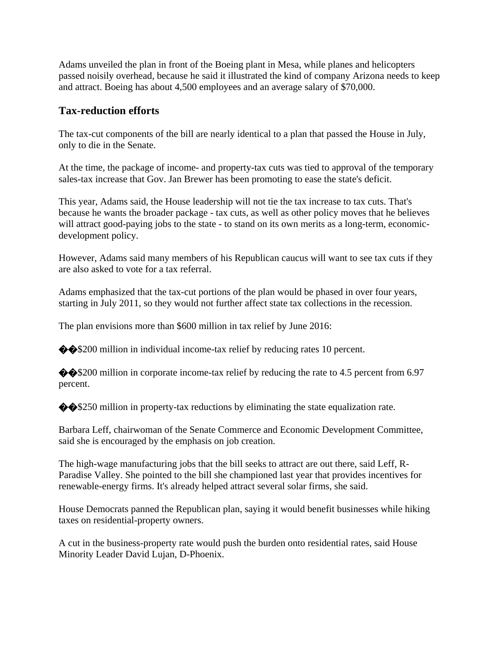Adams unveiled the plan in front of the Boeing plant in Mesa, while planes and helicopters passed noisily overhead, because he said it illustrated the kind of company Arizona needs to keep and attract. Boeing has about 4,500 employees and an average salary of \$70,000.

### **Tax-reduction efforts**

The tax-cut components of the bill are nearly identical to a plan that passed the House in July, only to die in the Senate.

At the time, the package of income- and property-tax cuts was tied to approval of the temporary sales-tax increase that Gov. Jan Brewer has been promoting to ease the state's deficit.

This year, Adams said, the House leadership will not tie the tax increase to tax cuts. That's because he wants the broader package - tax cuts, as well as other policy moves that he believes will attract good-paying jobs to the state - to stand on its own merits as a long-term, economicdevelopment policy.

However, Adams said many members of his Republican caucus will want to see tax cuts if they are also asked to vote for a tax referral.

Adams emphasized that the tax-cut portions of the plan would be phased in over four years, starting in July 2011, so they would not further affect state tax collections in the recession.

The plan envisions more than \$600 million in tax relief by June 2016:

 $\diamond$  \$200 million in individual income-tax relief by reducing rates 10 percent.

 $\diamond$  \$200 million in corporate income-tax relief by reducing the rate to 4.5 percent from 6.97 percent.

 $\diamond$  \$250 million in property-tax reductions by eliminating the state equalization rate.

Barbara Leff, chairwoman of the Senate Commerce and Economic Development Committee, said she is encouraged by the emphasis on job creation.

The high-wage manufacturing jobs that the bill seeks to attract are out there, said Leff, R-Paradise Valley. She pointed to the bill she championed last year that provides incentives for renewable-energy firms. It's already helped attract several solar firms, she said.

House Democrats panned the Republican plan, saying it would benefit businesses while hiking taxes on residential-property owners.

A cut in the business-property rate would push the burden onto residential rates, said House Minority Leader David Lujan, D-Phoenix.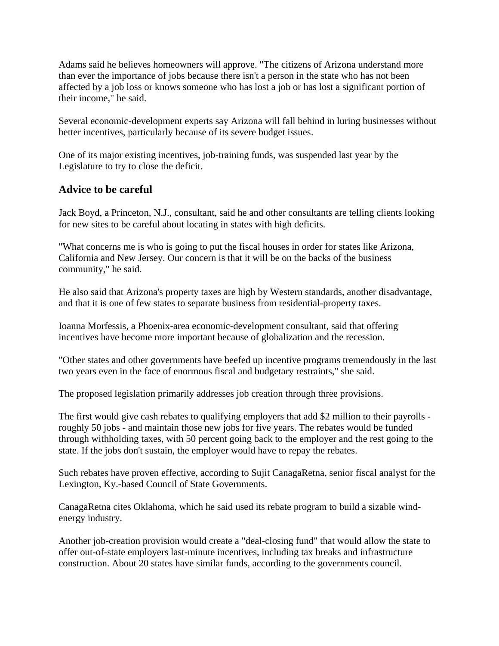Adams said he believes homeowners will approve. "The citizens of Arizona understand more than ever the importance of jobs because there isn't a person in the state who has not been affected by a job loss or knows someone who has lost a job or has lost a significant portion of their income," he said.

Several economic-development experts say Arizona will fall behind in luring businesses without better incentives, particularly because of its severe budget issues.

One of its major existing incentives, job-training funds, was suspended last year by the Legislature to try to close the deficit.

#### **Advice to be careful**

Jack Boyd, a Princeton, N.J., consultant, said he and other consultants are telling clients looking for new sites to be careful about locating in states with high deficits.

"What concerns me is who is going to put the fiscal houses in order for states like Arizona, California and New Jersey. Our concern is that it will be on the backs of the business community," he said.

He also said that Arizona's property taxes are high by Western standards, another disadvantage, and that it is one of few states to separate business from residential-property taxes.

Ioanna Morfessis, a Phoenix-area economic-development consultant, said that offering incentives have become more important because of globalization and the recession.

"Other states and other governments have beefed up incentive programs tremendously in the last two years even in the face of enormous fiscal and budgetary restraints," she said.

The proposed legislation primarily addresses job creation through three provisions.

The first would give cash rebates to qualifying employers that add \$2 million to their payrolls roughly 50 jobs - and maintain those new jobs for five years. The rebates would be funded through withholding taxes, with 50 percent going back to the employer and the rest going to the state. If the jobs don't sustain, the employer would have to repay the rebates.

Such rebates have proven effective, according to Sujit CanagaRetna, senior fiscal analyst for the Lexington, Ky.-based Council of State Governments.

CanagaRetna cites Oklahoma, which he said used its rebate program to build a sizable windenergy industry.

Another job-creation provision would create a "deal-closing fund" that would allow the state to offer out-of-state employers last-minute incentives, including tax breaks and infrastructure construction. About 20 states have similar funds, according to the governments council.